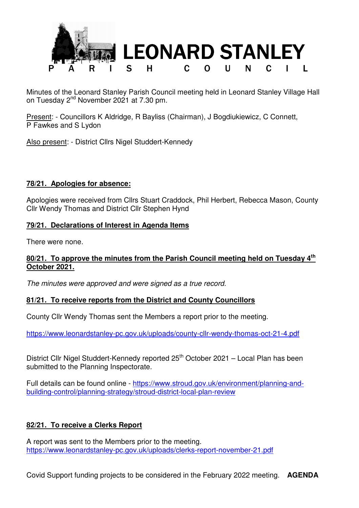

Minutes of the Leonard Stanley Parish Council meeting held in Leonard Stanley Village Hall on Tuesday 2<sup>nd</sup> November 2021 at 7.30 pm.

Present: - Councillors K Aldridge, R Bayliss (Chairman), J Bogdiukiewicz, C Connett, P Fawkes and S Lydon

Also present: - District Cllrs Nigel Studdert-Kennedy

### **78/21. Apologies for absence:**

Apologies were received from Cllrs Stuart Craddock, Phil Herbert, Rebecca Mason, County Cllr Wendy Thomas and District Cllr Stephen Hynd

### **79/21. Declarations of Interest in Agenda Items**

There were none.

### **80/21. To approve the minutes from the Parish Council meeting held on Tuesday 4th October 2021.**

The minutes were approved and were signed as a true record.

### **81/21. To receive reports from the District and County Councillors**

County Cllr Wendy Thomas sent the Members a report prior to the meeting.

https://www.leonardstanley-pc.gov.uk/uploads/county-cllr-wendy-thomas-oct-21-4.pdf

District Cllr Nigel Studdert-Kennedy reported 25<sup>th</sup> October 2021 – Local Plan has been submitted to the Planning Inspectorate.

Full details can be found online - https://www.stroud.gov.uk/environment/planning-andbuilding-control/planning-strategy/stroud-district-local-plan-review

# **82/21. To receive a Clerks Report**

A report was sent to the Members prior to the meeting. https://www.leonardstanley-pc.gov.uk/uploads/clerks-report-november-21.pdf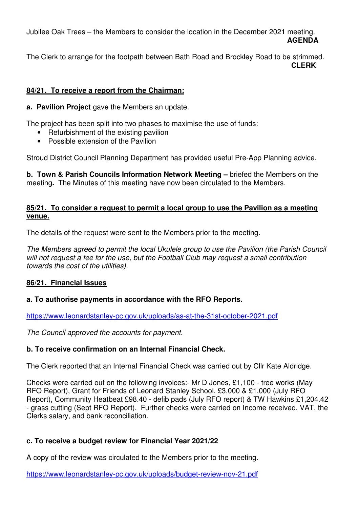Jubilee Oak Trees – the Members to consider the location in the December 2021 meeting. **AGENDA**

The Clerk to arrange for the footpath between Bath Road and Brockley Road to be strimmed. **CLERK** 

## **84/21. To receive a report from the Chairman:**

**a. Pavilion Project** gave the Members an update.

The project has been split into two phases to maximise the use of funds:

- Refurbishment of the existing pavilion
- Possible extension of the Pavilion

Stroud District Council Planning Department has provided useful Pre-App Planning advice.

**b. Town & Parish Councils Information Network Meeting –** briefed the Members on the meeting**.** The Minutes of this meeting have now been circulated to the Members.

### **85/21. To consider a request to permit a local group to use the Pavilion as a meeting venue.**

The details of the request were sent to the Members prior to the meeting.

The Members agreed to permit the local Ukulele group to use the Pavilion (the Parish Council will not request a fee for the use, but the Football Club may request a small contribution towards the cost of the utilities).

### **86/21. Financial Issues**

# **a. To authorise payments in accordance with the RFO Reports.**

https://www.leonardstanley-pc.gov.uk/uploads/as-at-the-31st-october-2021.pdf

The Council approved the accounts for payment.

# **b. To receive confirmation on an Internal Financial Check.**

The Clerk reported that an Internal Financial Check was carried out by Cllr Kate Aldridge.

Checks were carried out on the following invoices:- Mr D Jones, £1,100 - tree works (May RFO Report), Grant for Friends of Leonard Stanley School, £3,000 & £1,000 (July RFO Report), Community Heatbeat £98.40 - defib pads (July RFO report) & TW Hawkins £1,204.42 - grass cutting (Sept RFO Report). Further checks were carried on Income received, VAT, the Clerks salary, and bank reconciliation.

# **c. To receive a budget review for Financial Year 2021/22**

A copy of the review was circulated to the Members prior to the meeting.

https://www.leonardstanley-pc.gov.uk/uploads/budget-review-nov-21.pdf